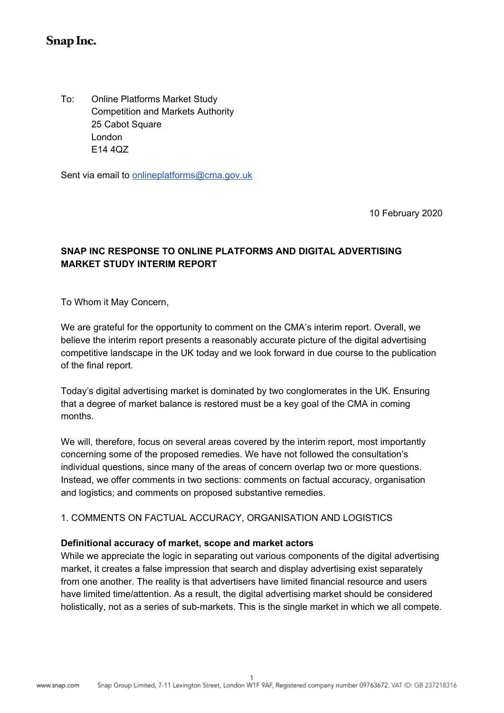# Snap Inc.

To: Competition and Markets Authority 25 Cabot Square E14 4QZ **Online Platforms Market Study** London

Sent via email to **[onlineplatforms@cma.gov.uk](mailto:onlineplatforms@cma.gov.uk)** 

10 February 2020

# **SNAP INC RESPONSE TO ONLINE PLATFORMS AND DIGITAL ADVERTISING MARKET STUDY INTERIM REPORT**

To Whom it May Concern,

 We are grateful for the opportunity to comment on the CMA's interim report. Overall, we believe the interim report presents a reasonably accurate picture of the digital advertising competitive landscape in the UK today and we look forward in due course to the publication of the final report.

 Today's digital advertising market is dominated by two conglomerates in the UK. Ensuring that a degree of market balance is restored must be a key goal of the CMA in coming months.

 We will, therefore, focus on several areas covered by the interim report, most importantly concerning some of the proposed remedies. We have not followed the consultation's individual questions, since many of the areas of concern overlap two or more questions. Instead, we offer comments in two sections: comments on factual accuracy, organisation and logistics; and comments on proposed substantive remedies.

## 1. COMMENTS ON FACTUAL ACCURACY, ORGANISATION AND LOGISTICS

#### **Definitional accuracy of market, scope and market actors**

 While we appreciate the logic in separating out various components of the digital advertising market, it creates a false impression that search and display advertising exist separately from one another. The reality is that advertisers have limited financial resource and users have limited time/attention. As a result, the digital advertising market should be considered holistically, not as a series of sub-markets. This is the single market in which we all compete.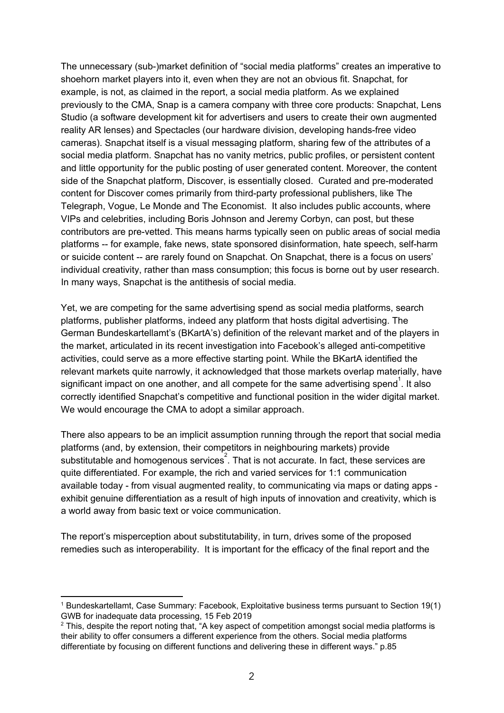The unnecessary (sub-)market definition of "social media platforms" creates an imperative to shoehorn market players into it, even when they are not an obvious fit. Snapchat, for example, is not, as claimed in the report, a social media platform. As we explained previously to the CMA, Snap is a camera company with three core products: Snapchat, Lens Studio (a software development kit for advertisers and users to create their own augmented reality AR lenses) and Spectacles (our hardware division, developing hands-free video cameras). Snapchat itself is a visual messaging platform, sharing few of the attributes of a social media platform. Snapchat has no vanity metrics, public profiles, or persistent content and little opportunity for the public posting of user generated content. Moreover, the content side of the Snapchat platform, Discover, is essentially closed. Curated and pre-moderated content for Discover comes primarily from third-party professional publishers, like The Telegraph, Vogue, Le Monde and The Economist. It also includes public accounts, where VIPs and celebrities, including Boris Johnson and Jeremy Corbyn, can post, but these contributors are pre-vetted. This means harms typically seen on public areas of social media platforms -- for example, fake news, state sponsored disinformation, hate speech, self-harm or suicide content -- are rarely found on Snapchat. On Snapchat, there is a focus on users' individual creativity, rather than mass consumption; this focus is borne out by user research. In many ways, Snapchat is the antithesis of social media.

 Yet, we are competing for the same advertising spend as social media platforms, search platforms, publisher platforms, indeed any platform that hosts digital advertising. The German Bundeskartellamt's (BKartA's) definition of the relevant market and of the players in the market, articulated in its recent investigation into Facebook's alleged anti-competitive activities, could serve as a more effective starting point. While the BKartA identified the relevant markets quite narrowly, it acknowledged that those markets overlap materially, have significant impact on one another, and all compete for the same advertising spend<sup>1</sup>. It also correctly identified Snapchat's competitive and functional position in the wider digital market. We would encourage the CMA to adopt a similar approach.

 There also appears to be an implicit assumption running through the report that social media platforms (and, by extension, their competitors in neighbouring markets) provide substitutable and homogenous services<sup>2</sup>. That is not accurate. In fact, these services are quite differentiated. For example, the rich and varied services for 1:1 communication available today - from visual augmented reality, to communicating via maps or dating apps - exhibit genuine differentiation as a result of high inputs of innovation and creativity, which is a world away from basic text or voice communication.

 The report's misperception about substitutability, in turn, drives some of the proposed remedies such as interoperability. It is important for the efficacy of the final report and the

 <sup>1</sup> Bundeskartellamt, Case Summary: Facebook, Exploitative business terms pursuant to Section 19(1) GWB for inadequate data processing, 15 Feb 2019

 $^2$  This, despite the report noting that, "A key aspect of competition amongst social media platforms is their ability to offer consumers a different experience from the others. Social media platforms differentiate by focusing on different functions and delivering these in different ways." p.85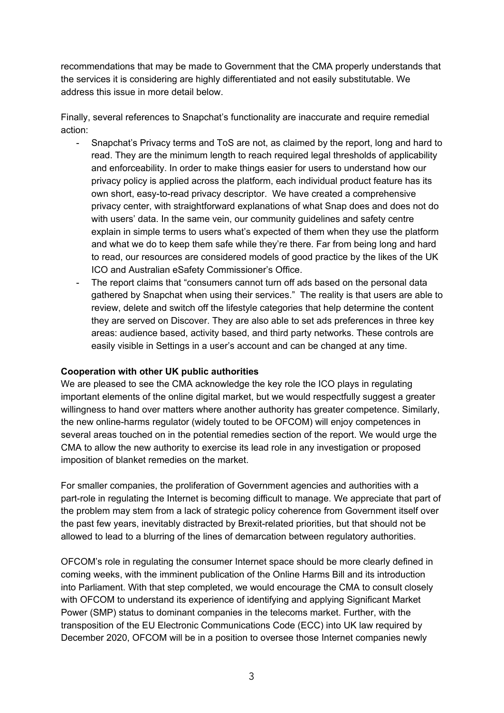recommendations that may be made to Government that the CMA properly understands that the services it is considering are highly differentiated and not easily substitutable. We address this issue in more detail below.

 Finally, several references to Snapchat's functionality are inaccurate and require remedial action:

- - Snapchat's Privacy terms and ToS are not, as claimed by the report, long and hard to read. They are the minimum length to reach required legal thresholds of applicability and enforceability. In order to make things easier for users to understand how our privacy policy is applied across the platform, each individual product feature has its own short, easy-to-read privacy descriptor. We have created a comprehensive privacy center, with straightforward explanations of what Snap does and does not do with users' data. In the same vein, our community guidelines and safety centre explain in simple terms to users what's expected of them when they use the platform and what we do to keep them safe while they're there. Far from being long and hard to read, our resources are considered models of good practice by the likes of the UK ICO and Australian eSafety Commissioner's Office.
- - The report claims that "consumers cannot turn off ads based on the personal data gathered by Snapchat when using their services." The reality is that users are able to review, delete and switch off the lifestyle categories that help determine the content they are served on Discover. They are also able to set ads preferences in three key areas: audience based, activity based, and third party networks. These controls are easily visible in Settings in a user's account and can be changed at any time.

#### **Cooperation with other UK public authorities**

 We are pleased to see the CMA acknowledge the key role the ICO plays in regulating important elements of the online digital market, but we would respectfully suggest a greater willingness to hand over matters where another authority has greater competence. Similarly, the new online-harms regulator (widely touted to be OFCOM) will enjoy competences in several areas touched on in the potential remedies section of the report. We would urge the CMA to allow the new authority to exercise its lead role in any investigation or proposed imposition of blanket remedies on the market.

 For smaller companies, the proliferation of Government agencies and authorities with a part-role in regulating the Internet is becoming difficult to manage. We appreciate that part of the problem may stem from a lack of strategic policy coherence from Government itself over the past few years, inevitably distracted by Brexit-related priorities, but that should not be allowed to lead to a blurring of the lines of demarcation between regulatory authorities.

 OFCOM's role in regulating the consumer Internet space should be more clearly defined in coming weeks, with the imminent publication of the Online Harms Bill and its introduction into Parliament. With that step completed, we would encourage the CMA to consult closely with OFCOM to understand its experience of identifying and applying Significant Market Power (SMP) status to dominant companies in the telecoms market. Further, with the transposition of the EU Electronic Communications Code (ECC) into UK law required by December 2020, OFCOM will be in a position to oversee those Internet companies newly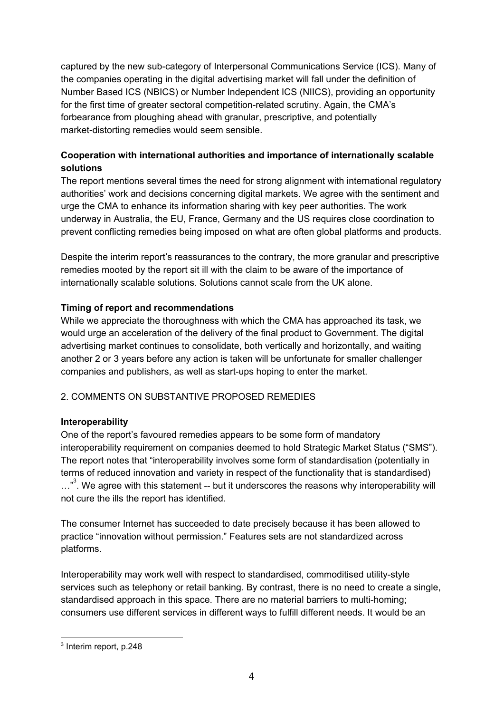captured by the new sub-category of Interpersonal Communications Service (ICS). Many of the companies operating in the digital advertising market will fall under the definition of Number Based ICS (NBICS) or Number Independent ICS (NIICS), providing an opportunity for the first time of greater sectoral competition-related scrutiny. Again, the CMA's forbearance from ploughing ahead with granular, prescriptive, and potentially market-distorting remedies would seem sensible.

# **Cooperation with international authorities and importance of internationally scalable solutions**

 The report mentions several times the need for strong alignment with international regulatory authorities' work and decisions concerning digital markets. We agree with the sentiment and urge the CMA to enhance its information sharing with key peer authorities. The work underway in Australia, the EU, France, Germany and the US requires close coordination to prevent conflicting remedies being imposed on what are often global platforms and products.

 Despite the interim report's reassurances to the contrary, the more granular and prescriptive remedies mooted by the report sit ill with the claim to be aware of the importance of internationally scalable solutions. Solutions cannot scale from the UK alone.

## **Timing of report and recommendations**

 While we appreciate the thoroughness with which the CMA has approached its task, we would urge an acceleration of the delivery of the final product to Government. The digital advertising market continues to consolidate, both vertically and horizontally, and waiting another 2 or 3 years before any action is taken will be unfortunate for smaller challenger companies and publishers, as well as start-ups hoping to enter the market.

## 2. COMMENTS ON SUBSTANTIVE PROPOSED REMEDIES

## **Interoperability**

 One of the report's favoured remedies appears to be some form of mandatory interoperability requirement on companies deemed to hold Strategic Market Status ("SMS"). The report notes that "interoperability involves some form of standardisation (potentially in terms of reduced innovation and variety in respect of the functionality that is standardised) ..."<sup>3</sup>. We agree with this statement -- but it underscores the reasons why interoperability will not cure the ills the report has identified.

 The consumer Internet has succeeded to date precisely because it has been allowed to practice "innovation without permission." Features sets are not standardized across platforms.

 Interoperability may work well with respect to standardised, commoditised utility-style services such as telephony or retail banking. By contrast, there is no need to create a single, standardised approach in this space. There are no material barriers to multi-homing; consumers use different services in different ways to fulfill different needs. It would be an

<sup>&</sup>lt;sup>3</sup> Interim report, p.248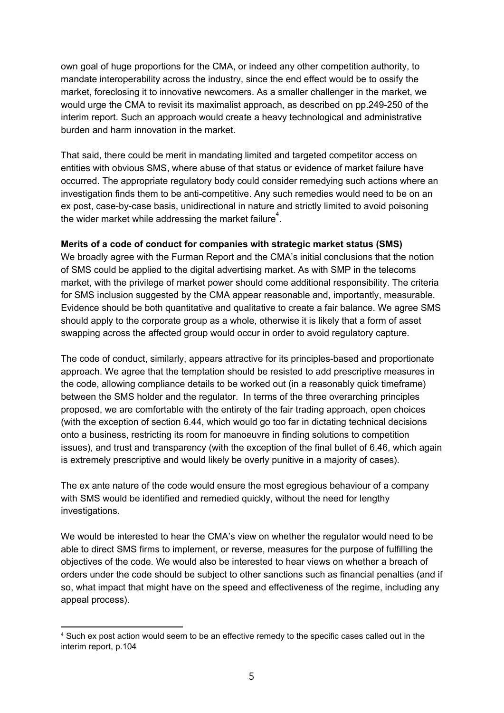own goal of huge proportions for the CMA, or indeed any other competition authority, to mandate interoperability across the industry, since the end effect would be to ossify the market, foreclosing it to innovative newcomers. As a smaller challenger in the market, we would urge the CMA to revisit its maximalist approach, as described on pp.249-250 of the interim report. Such an approach would create a heavy technological and administrative burden and harm innovation in the market.

 That said, there could be merit in mandating limited and targeted competitor access on entities with obvious SMS, where abuse of that status or evidence of market failure have occurred. The appropriate regulatory body could consider remedying such actions where an investigation finds them to be anti-competitive. Any such remedies would need to be on an ex post, case-by-case basis, unidirectional in nature and strictly limited to avoid poisoning the wider market while addressing the market failure<sup>4</sup>.

#### **Merits of a code of conduct for companies with strategic market status (SMS)**

 We broadly agree with the Furman Report and the CMA's initial conclusions that the notion of SMS could be applied to the digital advertising market. As with SMP in the telecoms market, with the privilege of market power should come additional responsibility. The criteria for SMS inclusion suggested by the CMA appear reasonable and, importantly, measurable. Evidence should be both quantitative and qualitative to create a fair balance. We agree SMS should apply to the corporate group as a whole, otherwise it is likely that a form of asset swapping across the affected group would occur in order to avoid regulatory capture.

 The code of conduct, similarly, appears attractive for its principles-based and proportionate approach. We agree that the temptation should be resisted to add prescriptive measures in the code, allowing compliance details to be worked out (in a reasonably quick timeframe) between the SMS holder and the regulator. In terms of the three overarching principles proposed, we are comfortable with the entirety of the fair trading approach, open choices (with the exception of section 6.44, which would go too far in dictating technical decisions onto a business, restricting its room for manoeuvre in finding solutions to competition issues), and trust and transparency (with the exception of the final bullet of 6.46, which again is extremely prescriptive and would likely be overly punitive in a majority of cases).

 The ex ante nature of the code would ensure the most egregious behaviour of a company with SMS would be identified and remedied quickly, without the need for lengthy investigations.

 We would be interested to hear the CMA's view on whether the regulator would need to be able to direct SMS firms to implement, or reverse, measures for the purpose of fulfilling the objectives of the code. We would also be interested to hear views on whether a breach of orders under the code should be subject to other sanctions such as financial penalties (and if so, what impact that might have on the speed and effectiveness of the regime, including any appeal process).

 $<sup>4</sup>$  Such ex post action would seem to be an effective remedy to the specific cases called out in the</sup> interim report, p.104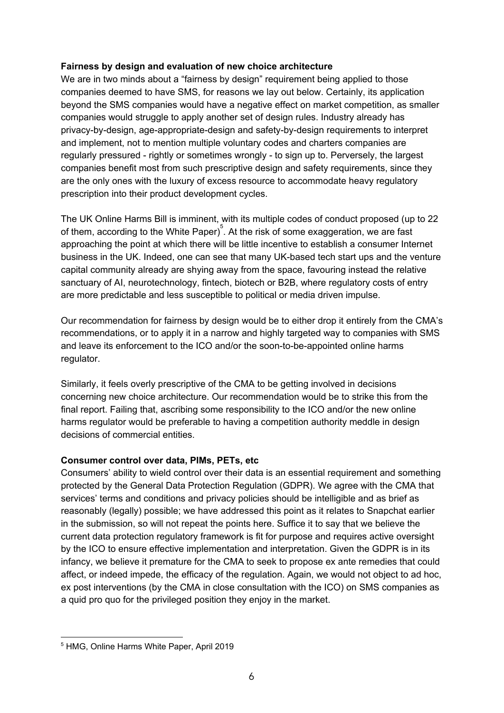#### **Fairness by design and evaluation of new choice architecture**

 We are in two minds about a "fairness by design" requirement being applied to those companies deemed to have SMS, for reasons we lay out below. Certainly, its application beyond the SMS companies would have a negative effect on market competition, as smaller companies would struggle to apply another set of design rules. Industry already has privacy-by-design, age-appropriate-design and safety-by-design requirements to interpret and implement, not to mention multiple voluntary codes and charters companies are regularly pressured - rightly or sometimes wrongly - to sign up to. Perversely, the largest companies benefit most from such prescriptive design and safety requirements, since they are the only ones with the luxury of excess resource to accommodate heavy regulatory prescription into their product development cycles.

 The UK Online Harms Bill is imminent, with its multiple codes of conduct proposed (up to 22 of them, according to the White Paper) $^{5}$ . At the risk of some exaggeration, we are fast approaching the point at which there will be little incentive to establish a consumer Internet business in the UK. Indeed, one can see that many UK-based tech start ups and the venture capital community already are shying away from the space, favouring instead the relative sanctuary of AI, neurotechnology, fintech, biotech or B2B, where regulatory costs of entry are more predictable and less susceptible to political or media driven impulse.

 Our recommendation for fairness by design would be to either drop it entirely from the CMA's recommendations, or to apply it in a narrow and highly targeted way to companies with SMS and leave its enforcement to the ICO and/or the soon-to-be-appointed online harms regulator.

 Similarly, it feels overly prescriptive of the CMA to be getting involved in decisions concerning new choice architecture. Our recommendation would be to strike this from the final report. Failing that, ascribing some responsibility to the ICO and/or the new online harms regulator would be preferable to having a competition authority meddle in design decisions of commercial entities.

## **Consumer control over data, PIMs, PETs, etc**

 Consumers' ability to wield control over their data is an essential requirement and something protected by the General Data Protection Regulation (GDPR). We agree with the CMA that services' terms and conditions and privacy policies should be intelligible and as brief as reasonably (legally) possible; we have addressed this point as it relates to Snapchat earlier in the submission, so will not repeat the points here. Suffice it to say that we believe the current data protection regulatory framework is fit for purpose and requires active oversight by the ICO to ensure effective implementation and interpretation. Given the GDPR is in its infancy, we believe it premature for the CMA to seek to propose ex ante remedies that could affect, or indeed impede, the efficacy of the regulation. Again, we would not object to ad hoc, ex post interventions (by the CMA in close consultation with the ICO) on SMS companies as a quid pro quo for the privileged position they enjoy in the market.

 <sup>5</sup> HMG, Online Harms White Paper, April 2019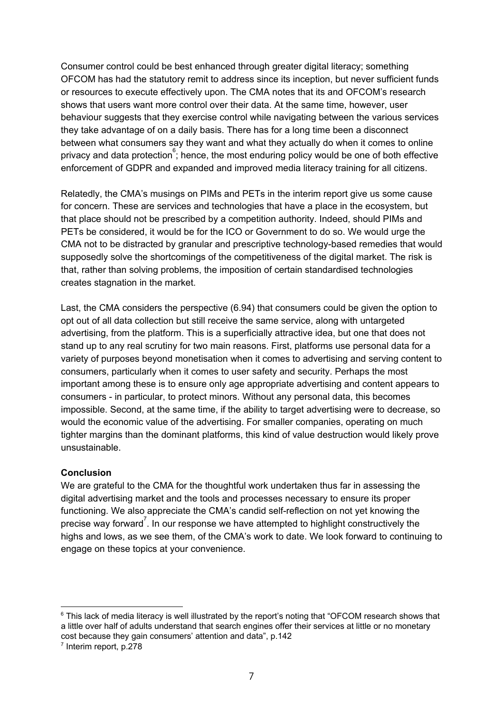Consumer control could be best enhanced through greater digital literacy; something OFCOM has had the statutory remit to address since its inception, but never sufficient funds or resources to execute effectively upon. The CMA notes that its and OFCOM's research shows that users want more control over their data. At the same time, however, user behaviour suggests that they exercise control while navigating between the various services they take advantage of on a daily basis. There has for a long time been a disconnect between what consumers say they want and what they actually do when it comes to online privacy and data protection  $\mathring{\mathring{\mathsf{s}}}$ ; hence, the most enduring policy would be one of both effective enforcement of GDPR and expanded and improved media literacy training for all citizens.

 Relatedly, the CMA's musings on PIMs and PETs in the interim report give us some cause for concern. These are services and technologies that have a place in the ecosystem, but that place should not be prescribed by a competition authority. Indeed, should PIMs and PETs be considered, it would be for the ICO or Government to do so. We would urge the CMA not to be distracted by granular and prescriptive technology-based remedies that would supposedly solve the shortcomings of the competitiveness of the digital market. The risk is that, rather than solving problems, the imposition of certain standardised technologies creates stagnation in the market.

 Last, the CMA considers the perspective (6.94) that consumers could be given the option to opt out of all data collection but still receive the same service, along with untargeted advertising, from the platform. This is a superficially attractive idea, but one that does not stand up to any real scrutiny for two main reasons. First, platforms use personal data for a variety of purposes beyond monetisation when it comes to advertising and serving content to consumers, particularly when it comes to user safety and security. Perhaps the most important among these is to ensure only age appropriate advertising and content appears to consumers - in particular, to protect minors. Without any personal data, this becomes impossible. Second, at the same time, if the ability to target advertising were to decrease, so would the economic value of the advertising. For smaller companies, operating on much tighter margins than the dominant platforms, this kind of value destruction would likely prove unsustainable.

## **Conclusion**

 We are grateful to the CMA for the thoughtful work undertaken thus far in assessing the digital advertising market and the tools and processes necessary to ensure its proper functioning. We also appreciate the CMA's candid self-reflection on not yet knowing the precise way forward<sup>7</sup>. In our response we have attempted to highlight constructively the highs and lows, as we see them, of the CMA's work to date. We look forward to continuing to engage on these topics at your convenience.

 $^6$  This lack of media literacy is well illustrated by the report's noting that "OFCOM research shows that a little over half of adults understand that search engines offer their services at little or no monetary cost because they gain consumers' attention and data", p.142

<sup>&</sup>lt;sup>7</sup> Interim report, p.278